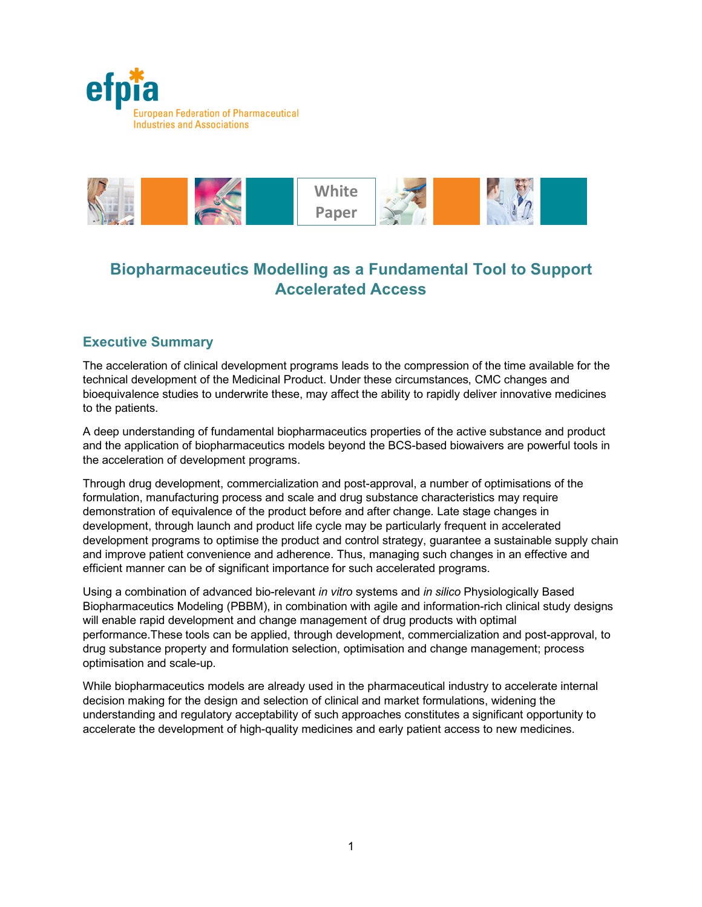



# **Biopharmaceutics Modelling as a Fundamental Tool to Support Accelerated Access**

# **Executive Summary**

The acceleration of clinical development programs leads to the compression of the time available for the technical development of the Medicinal Product. Under these circumstances, CMC changes and bioequivalence studies to underwrite these, may affect the ability to rapidly deliver innovative medicines to the patients.

A deep understanding of fundamental biopharmaceutics properties of the active substance and product and the application of biopharmaceutics models beyond the BCS-based biowaivers are powerful tools in the acceleration of development programs.

Through drug development, commercialization and post-approval, a number of optimisations of the formulation, manufacturing process and scale and drug substance characteristics may require demonstration of equivalence of the product before and after change. Late stage changes in development, through launch and product life cycle may be particularly frequent in accelerated development programs to optimise the product and control strategy, guarantee a sustainable supply chain and improve patient convenience and adherence. Thus, managing such changes in an effective and efficient manner can be of significant importance for such accelerated programs.

Using a combination of advanced bio-relevant *in vitro* systems and *in silico* Physiologically Based Biopharmaceutics Modeling (PBBM), in combination with agile and information-rich clinical study designs will enable rapid development and change management of drug products with optimal performance.These tools can be applied, through development, commercialization and post-approval, to drug substance property and formulation selection, optimisation and change management; process optimisation and scale-up.

While biopharmaceutics models are already used in the pharmaceutical industry to accelerate internal decision making for the design and selection of clinical and market formulations, widening the understanding and regulatory acceptability of such approaches constitutes a significant opportunity to accelerate the development of high-quality medicines and early patient access to new medicines.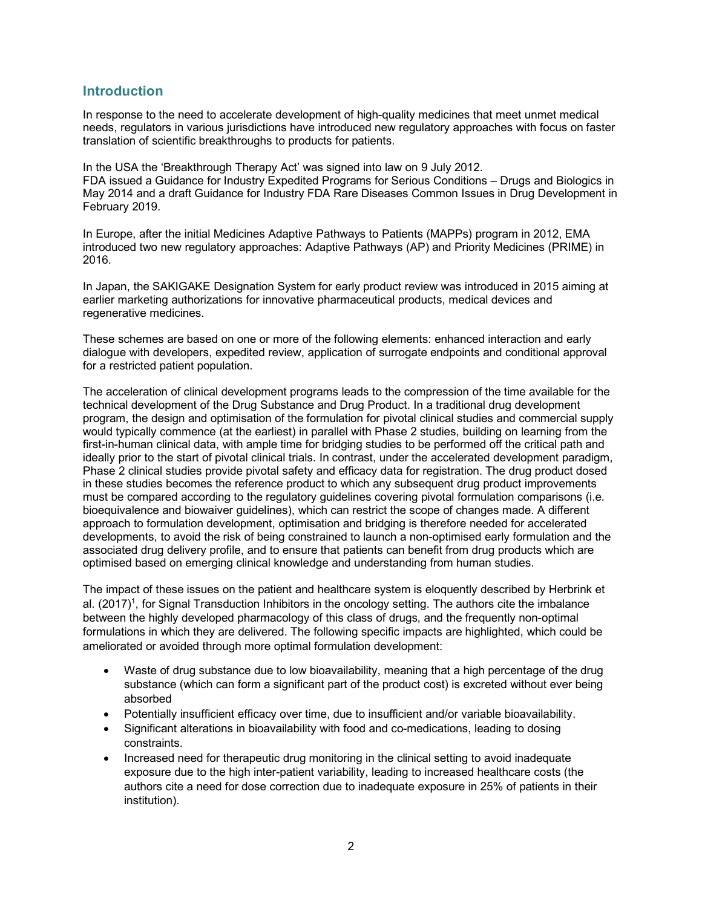# **Introduction**

In response to the need to accelerate development of high-quality medicines that meet unmet medical needs, regulators in various jurisdictions have introduced new regulatory approaches with focus on faster translation of scientific breakthroughs to products for patients.

In the USA the 'Breakthrough Therapy Act' was signed into law on 9 July 2012. FDA issued a Guidance for Industry Expedited Programs for Serious Conditions – Drugs and Biologics in May 2014 and a draft Guidance for Industry FDA Rare Diseases Common Issues in Drug Development in February 2019.

In Europe, after the initial Medicines Adaptive Pathways to Patients (MAPPs) program in 2012, EMA introduced two new regulatory approaches: Adaptive Pathways (AP) and Priority Medicines (PRIME) in 2016.

In Japan, the SAKIGAKE Designation System for early product review was introduced in 2015 aiming at earlier marketing authorizations for innovative pharmaceutical products, medical devices and regenerative medicines.

These schemes are based on one or more of the following elements: enhanced interaction and early dialogue with developers, expedited review, application of surrogate endpoints and conditional approval for a restricted patient population.

The acceleration of clinical development programs leads to the compression of the time available for the technical development of the Drug Substance and Drug Product. In a traditional drug development program, the design and optimisation of the formulation for pivotal clinical studies and commercial supply would typically commence (at the earliest) in parallel with Phase 2 studies, building on learning from the first-in-human clinical data, with ample time for bridging studies to be performed off the critical path and ideally prior to the start of pivotal clinical trials. In contrast, under the accelerated development paradigm, Phase 2 clinical studies provide pivotal safety and efficacy data for registration. The drug product dosed in these studies becomes the reference product to which any subsequent drug product improvements must be compared according to the regulatory guidelines covering pivotal formulation comparisons (i.e. bioequivalence and biowaiver guidelines), which can restrict the scope of changes made. A different approach to formulation development, optimisation and bridging is therefore needed for accelerated developments, to avoid the risk of being constrained to launch a non-optimised early formulation and the associated drug delivery profile, and to ensure that patients can benefit from drug products which are optimised based on emerging clinical knowledge and understanding from human studies.

The impact of these issues on the patient and healthcare system is eloquently described by Herbrink et al. (2017)<sup>1</sup>, for Signal Transduction Inhibitors in the oncology setting. The authors cite the imbalance between the highly developed pharmacology of this class of drugs, and the frequently non-optimal formulations in which they are delivered. The following specific impacts are highlighted, which could be ameliorated or avoided through more optimal formulation development:

- Waste of drug substance due to low bioavailability, meaning that a high percentage of the drug substance (which can form a significant part of the product cost) is excreted without ever being absorbed
- Potentially insufficient efficacy over time, due to insufficient and/or variable bioavailability.
- Significant alterations in bioavailability with food and co-medications, leading to dosing constraints.
- Increased need for therapeutic drug monitoring in the clinical setting to avoid inadequate exposure due to the high inter-patient variability, leading to increased healthcare costs (the authors cite a need for dose correction due to inadequate exposure in 25% of patients in their institution).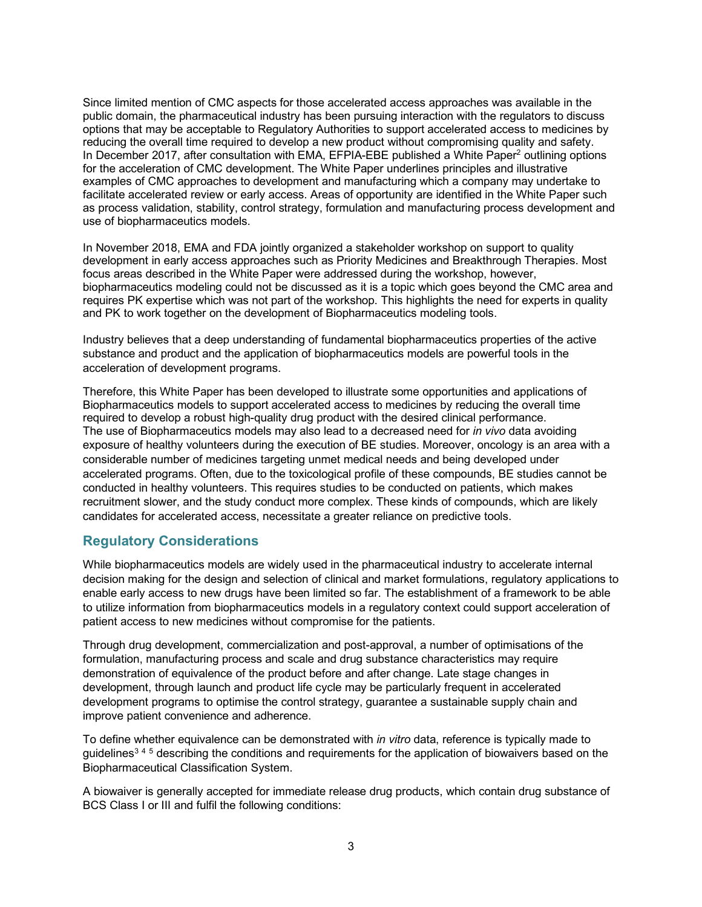Since limited mention of CMC aspects for those accelerated access approaches was available in the public domain, the pharmaceutical industry has been pursuing interaction with the regulators to discuss options that may be acceptable to Regulatory Authorities to support accelerated access to medicines by reducing the overall time required to develop a new product without compromising quality and safety. In December 2017, after consultation with EMA, EFPIA-EBE published a White Paper<sup>2</sup> outlining options for the acceleration of CMC development. The White Paper underlines principles and illustrative examples of CMC approaches to development and manufacturing which a company may undertake to facilitate accelerated review or early access. Areas of opportunity are identified in the White Paper such as process validation, stability, control strategy, formulation and manufacturing process development and use of biopharmaceutics models.

In November 2018, EMA and FDA jointly organized a stakeholder workshop on support to quality development in early access approaches such as Priority Medicines and Breakthrough Therapies. Most focus areas described in the White Paper were addressed during the workshop, however, biopharmaceutics modeling could not be discussed as it is a topic which goes beyond the CMC area and requires PK expertise which was not part of the workshop. This highlights the need for experts in quality and PK to work together on the development of Biopharmaceutics modeling tools.

Industry believes that a deep understanding of fundamental biopharmaceutics properties of the active substance and product and the application of biopharmaceutics models are powerful tools in the acceleration of development programs.

Therefore, this White Paper has been developed to illustrate some opportunities and applications of Biopharmaceutics models to support accelerated access to medicines by reducing the overall time required to develop a robust high-quality drug product with the desired clinical performance. The use of Biopharmaceutics models may also lead to a decreased need for *in vivo* data avoiding exposure of healthy volunteers during the execution of BE studies. Moreover, oncology is an area with a considerable number of medicines targeting unmet medical needs and being developed under accelerated programs. Often, due to the toxicological profile of these compounds, BE studies cannot be conducted in healthy volunteers. This requires studies to be conducted on patients, which makes recruitment slower, and the study conduct more complex. These kinds of compounds, which are likely candidates for accelerated access, necessitate a greater reliance on predictive tools.

# **Regulatory Considerations**

While biopharmaceutics models are widely used in the pharmaceutical industry to accelerate internal decision making for the design and selection of clinical and market formulations, regulatory applications to enable early access to new drugs have been limited so far. The establishment of a framework to be able to utilize information from biopharmaceutics models in a regulatory context could support acceleration of patient access to new medicines without compromise for the patients.

Through drug development, commercialization and post-approval, a number of optimisations of the formulation, manufacturing process and scale and drug substance characteristics may require demonstration of equivalence of the product before and after change. Late stage changes in development, through launch and product life cycle may be particularly frequent in accelerated development programs to optimise the control strategy, guarantee a sustainable supply chain and improve patient convenience and adherence.

To define whether equivalence can be demonstrated with *in vitro* data, reference is typically made to guidelines<sup>345</sup> describing the conditions and requirements for the application of biowaivers based on the Biopharmaceutical Classification System.

A biowaiver is generally accepted for immediate release drug products, which contain drug substance of BCS Class I or III and fulfil the following conditions: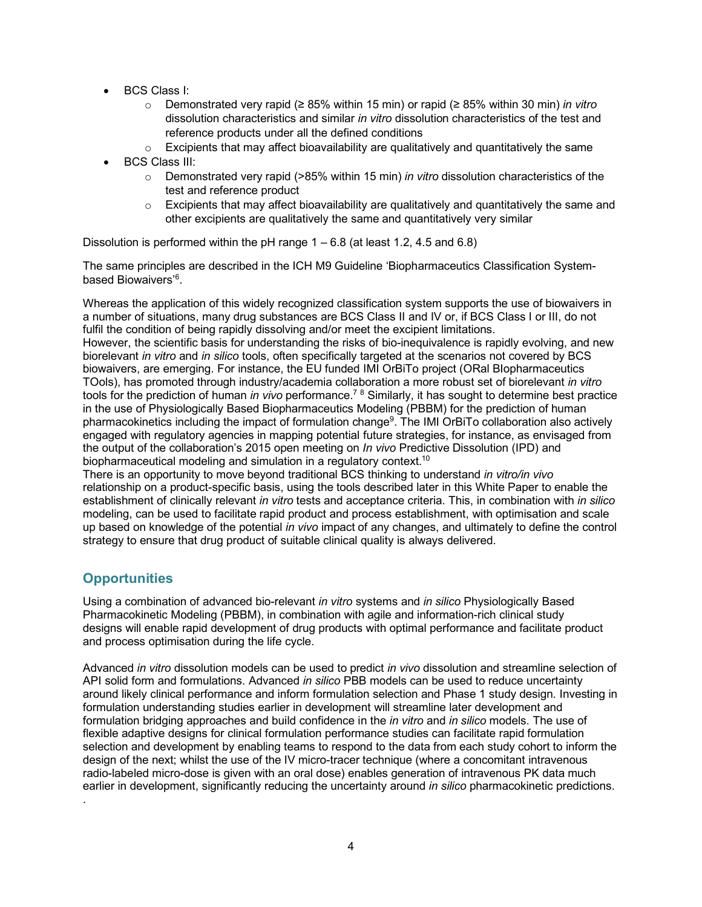- BCS Class I:
	- o Demonstrated very rapid (≥ 85% within 15 min) or rapid (≥ 85% within 30 min) *in vitro* dissolution characteristics and similar *in vitro* dissolution characteristics of the test and reference products under all the defined conditions
	- $\circ$  Excipients that may affect bioavailability are qualitatively and quantitatively the same
- BCS Class III:
	- o Demonstrated very rapid (>85% within 15 min) *in vitro* dissolution characteristics of the test and reference product
	- $\circ$  Excipients that may affect bioavailability are qualitatively and quantitatively the same and other excipients are qualitatively the same and quantitatively very similar

Dissolution is performed within the pH range  $1 - 6.8$  (at least 1.2, 4.5 and 6.8)

The same principles are described in the ICH M9 Guideline 'Biopharmaceutics Classification Systembased Biowaivers'6 .

Whereas the application of this widely recognized classification system supports the use of biowaivers in a number of situations, many drug substances are BCS Class II and IV or, if BCS Class I or III, do not fulfil the condition of being rapidly dissolving and/or meet the excipient limitations.

However, the scientific basis for understanding the risks of bio-inequivalence is rapidly evolving, and new biorelevant *in vitro* and *in silico* tools, often specifically targeted at the scenarios not covered by BCS biowaivers, are emerging. For instance, the EU funded IMI OrBiTo project (ORal BIopharmaceutics TOols), has promoted through industry/academia collaboration a more robust set of biorelevant *in vitro* tools for the prediction of human *in vivo* performance. <sup>7</sup> <sup>8</sup> Similarly, it has sought to determine best practice in the use of Physiologically Based Biopharmaceutics Modeling (PBBM) for the prediction of human pharmacokinetics including the impact of formulation change<sup>9</sup>. The IMI OrBiTo collaboration also actively engaged with regulatory agencies in mapping potential future strategies, for instance, as envisaged from the output of the collaboration's 2015 open meeting on *In vivo* Predictive Dissolution (IPD) and biopharmaceutical modeling and simulation in a regulatory context.<sup>10</sup>

There is an opportunity to move beyond traditional BCS thinking to understand *in vitro/in vivo* relationship on a product-specific basis, using the tools described later in this White Paper to enable the establishment of clinically relevant *in vitro* tests and acceptance criteria. This, in combination with *in silico* modeling, can be used to facilitate rapid product and process establishment, with optimisation and scale up based on knowledge of the potential *in vivo* impact of any changes, and ultimately to define the control strategy to ensure that drug product of suitable clinical quality is always delivered.

# **Opportunities**

.

Using a combination of advanced bio-relevant *in vitro* systems and *in silico* Physiologically Based Pharmacokinetic Modeling (PBBM), in combination with agile and information-rich clinical study designs will enable rapid development of drug products with optimal performance and facilitate product and process optimisation during the life cycle.

Advanced *in vitro* dissolution models can be used to predict *in vivo* dissolution and streamline selection of API solid form and formulations. Advanced *in silico* PBB models can be used to reduce uncertainty around likely clinical performance and inform formulation selection and Phase 1 study design. Investing in formulation understanding studies earlier in development will streamline later development and formulation bridging approaches and build confidence in the *in vitro* and *in silico* models. The use of flexible adaptive designs for clinical formulation performance studies can facilitate rapid formulation selection and development by enabling teams to respond to the data from each study cohort to inform the design of the next; whilst the use of the IV micro-tracer technique (where a concomitant intravenous radio-labeled micro-dose is given with an oral dose) enables generation of intravenous PK data much earlier in development, significantly reducing the uncertainty around *in silico* pharmacokinetic predictions.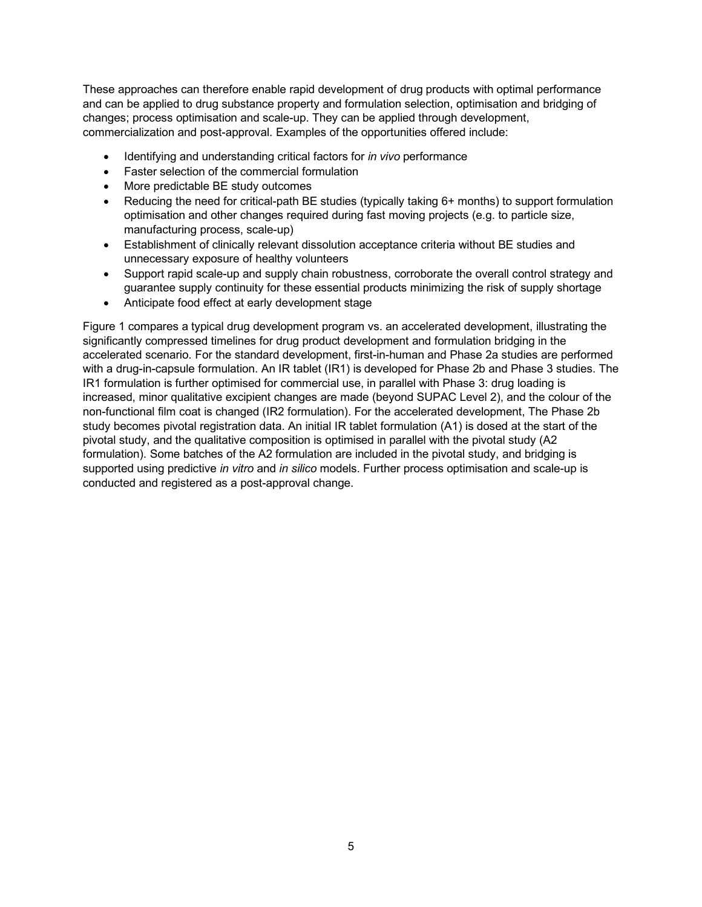These approaches can therefore enable rapid development of drug products with optimal performance and can be applied to drug substance property and formulation selection, optimisation and bridging of changes; process optimisation and scale-up. They can be applied through development, commercialization and post-approval. Examples of the opportunities offered include:

- Identifying and understanding critical factors for *in vivo* performance
- Faster selection of the commercial formulation
- More predictable BE study outcomes
- Reducing the need for critical-path BE studies (typically taking 6+ months) to support formulation optimisation and other changes required during fast moving projects (e.g. to particle size, manufacturing process, scale-up)
- Establishment of clinically relevant dissolution acceptance criteria without BE studies and unnecessary exposure of healthy volunteers
- Support rapid scale-up and supply chain robustness, corroborate the overall control strategy and guarantee supply continuity for these essential products minimizing the risk of supply shortage
- Anticipate food effect at early development stage

Figure 1 compares a typical drug development program vs. an accelerated development, illustrating the significantly compressed timelines for drug product development and formulation bridging in the accelerated scenario. For the standard development, first-in-human and Phase 2a studies are performed with a drug-in-capsule formulation. An IR tablet (IR1) is developed for Phase 2b and Phase 3 studies. The IR1 formulation is further optimised for commercial use, in parallel with Phase 3: drug loading is increased, minor qualitative excipient changes are made (beyond SUPAC Level 2), and the colour of the non-functional film coat is changed (IR2 formulation). For the accelerated development, The Phase 2b study becomes pivotal registration data. An initial IR tablet formulation (A1) is dosed at the start of the pivotal study, and the qualitative composition is optimised in parallel with the pivotal study (A2 formulation). Some batches of the A2 formulation are included in the pivotal study, and bridging is supported using predictive *in vitro* and *in silico* models. Further process optimisation and scale-up is conducted and registered as a post-approval change.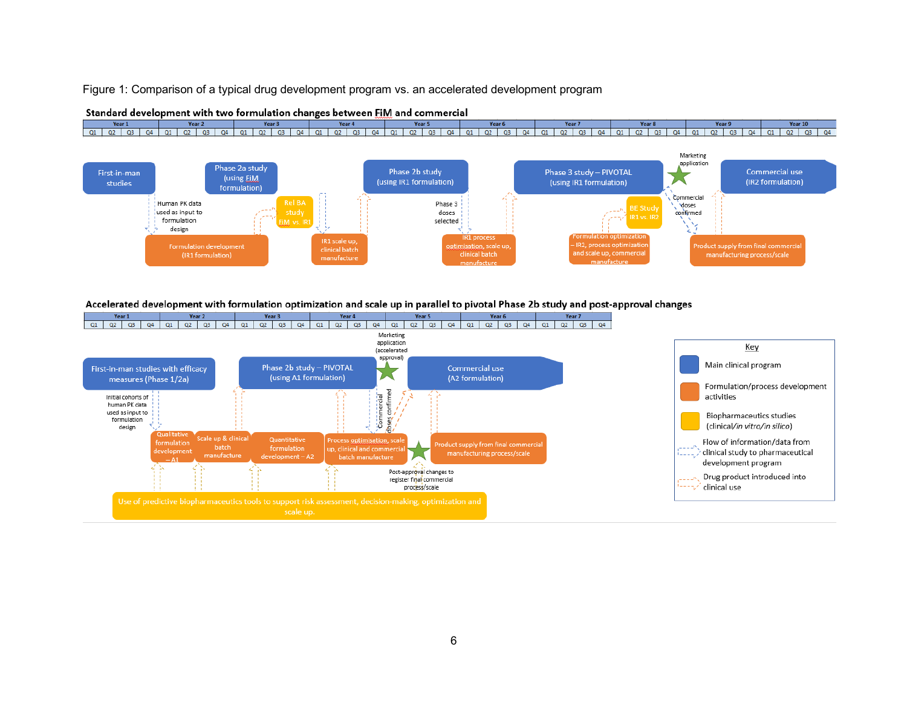#### Figure 1: Comparison of a typical drug development program vs. an accelerated development program

Standard development with two formulation changes between FiM and commercial

#### Year 2 Year 4 Year 5 Year 1 Year 3 Year 6 Year 7 Year 8 Year 9 Year 10 01 02 03 04 01 02 03 04 01 02 03 04 01 02 03 04 01 02 03 04 01 02 03 04 01 02 03 04 01 02 03 04 01 02 03 04 02 03 04 01 02 03 04 01 02 03 Marketing



#### Accelerated development with formulation optimization and scale up in parallel to pivotal Phase 2b study and post-approval changes

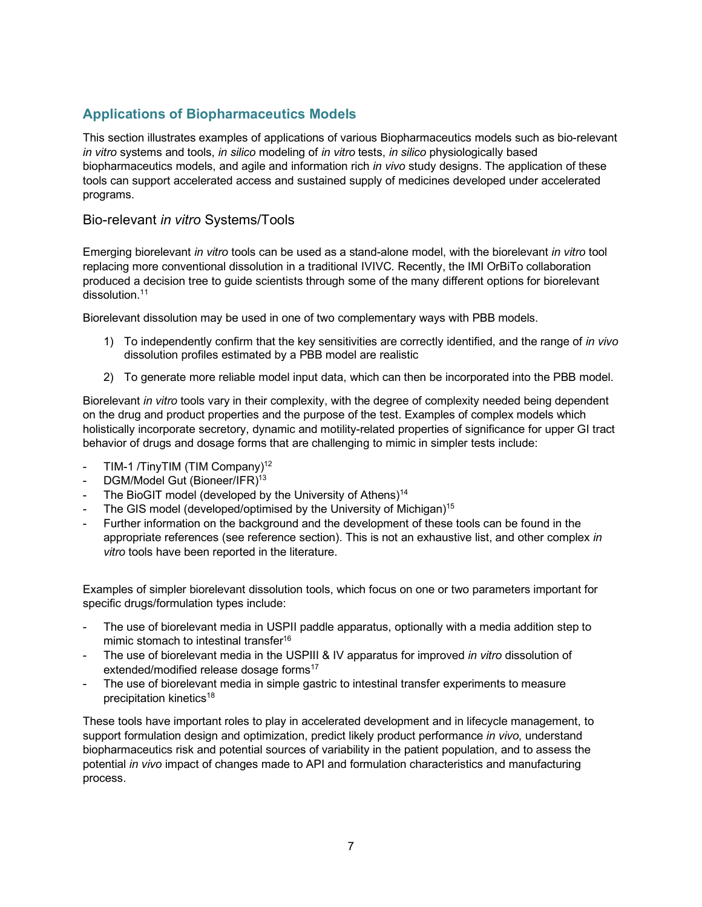# **Applications of Biopharmaceutics Models**

This section illustrates examples of applications of various Biopharmaceutics models such as bio-relevant *in vitro* systems and tools, *in silico* modeling of *in vitro* tests, *in silico* physiologically based biopharmaceutics models, and agile and information rich *in vivo* study designs. The application of these tools can support accelerated access and sustained supply of medicines developed under accelerated programs.

# Bio-relevant *in vitro* Systems/Tools

Emerging biorelevant *in vitro* tools can be used as a stand-alone model, with the biorelevant *in vitro* tool replacing more conventional dissolution in a traditional IVIVC. Recently, the IMI OrBiTo collaboration produced a decision tree to guide scientists through some of the many different options for biorelevant dissolution. 11

Biorelevant dissolution may be used in one of two complementary ways with PBB models.

- 1) To independently confirm that the key sensitivities are correctly identified, and the range of *in vivo* dissolution profiles estimated by a PBB model are realistic
- 2) To generate more reliable model input data, which can then be incorporated into the PBB model.

Biorelevant *in vitro* tools vary in their complexity, with the degree of complexity needed being dependent on the drug and product properties and the purpose of the test. Examples of complex models which holistically incorporate secretory, dynamic and motility-related properties of significance for upper GI tract behavior of drugs and dosage forms that are challenging to mimic in simpler tests include:

- TIM-1 /TinyTIM (TIM Company)<sup>12</sup>
- DGM/Model Gut (Bioneer/IFR)<sup>13</sup>
- The BioGIT model (developed by the University of Athens)<sup>14</sup>
- The GIS model (developed/optimised by the University of Michigan)<sup>15</sup>
- Further information on the background and the development of these tools can be found in the appropriate references (see reference section). This is not an exhaustive list, and other complex *in vitro* tools have been reported in the literature.

Examples of simpler biorelevant dissolution tools, which focus on one or two parameters important for specific drugs/formulation types include:

- The use of biorelevant media in USPII paddle apparatus, optionally with a media addition step to mimic stomach to intestinal transfer<sup>16</sup>
- The use of biorelevant media in the USPIII & IV apparatus for improved *in vitro* dissolution of extended/modified release dosage forms<sup>17</sup>
- The use of biorelevant media in simple gastric to intestinal transfer experiments to measure precipitation kinetics<sup>18</sup>

These tools have important roles to play in accelerated development and in lifecycle management, to support formulation design and optimization, predict likely product performance *in vivo*, understand biopharmaceutics risk and potential sources of variability in the patient population, and to assess the potential *in vivo* impact of changes made to API and formulation characteristics and manufacturing process.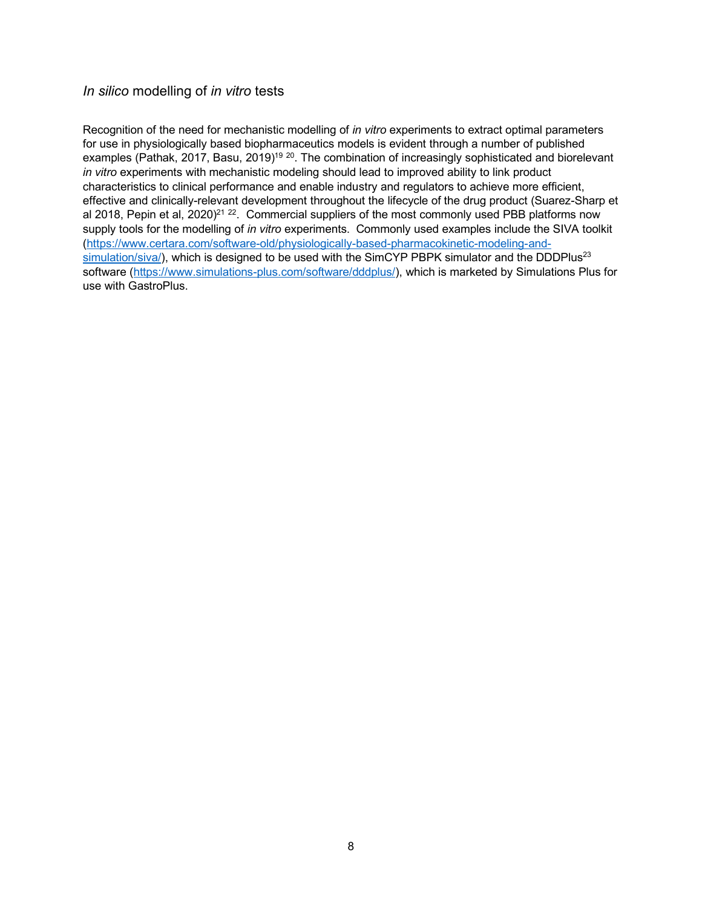## *In silico* modelling of *in vitro* tests

Recognition of the need for mechanistic modelling of *in vitro* experiments to extract optimal parameters for use in physiologically based biopharmaceutics models is evident through a number of published examples (Pathak, 2017, Basu, 2019)<sup>19 20</sup>. The combination of increasingly sophisticated and biorelevant *in vitro* experiments with mechanistic modeling should lead to improved ability to link product characteristics to clinical performance and enable industry and regulators to achieve more efficient, effective and clinically-relevant development throughout the lifecycle of the drug product (Suarez-Sharp et al 2018, Pepin et al,  $2020)^{21}$   $^{22}$ . Commercial suppliers of the most commonly used PBB platforms now supply tools for the modelling of *in vitro* experiments. Commonly used examples include the SIVA toolkit (https://www.certara.com/software-old/physiologically-based-pharmacokinetic-modeling-and $simulation/siva$ , which is designed to be used with the SimCYP PBPK simulator and the DDDPlus<sup>23</sup> software (https://www.simulations-plus.com/software/dddplus/), which is marketed by Simulations Plus for use with GastroPlus.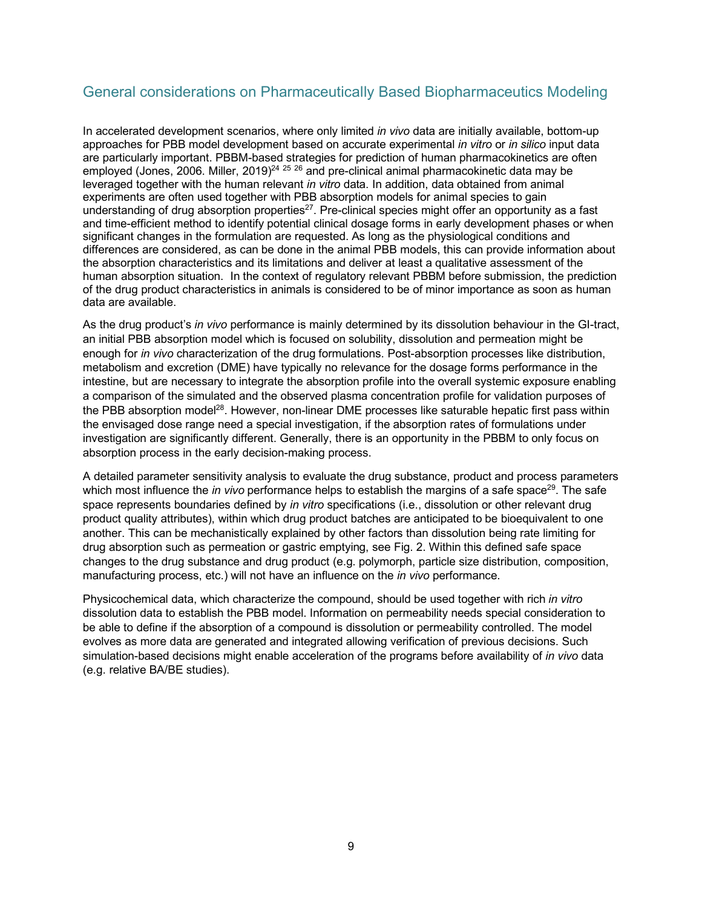# General considerations on Pharmaceutically Based Biopharmaceutics Modeling

In accelerated development scenarios, where only limited *in vivo* data are initially available, bottom-up approaches for PBB model development based on accurate experimental *in vitro* or *in silico* input data are particularly important. PBBM-based strategies for prediction of human pharmacokinetics are often employed (Jones, 2006. Miller, 2019)<sup>24 25 26</sup> and pre-clinical animal pharmacokinetic data may be leveraged together with the human relevant *in vitro* data. In addition, data obtained from animal experiments are often used together with PBB absorption models for animal species to gain understanding of drug absorption properties<sup>27</sup>. Pre-clinical species might offer an opportunity as a fast and time-efficient method to identify potential clinical dosage forms in early development phases or when significant changes in the formulation are requested. As long as the physiological conditions and differences are considered, as can be done in the animal PBB models, this can provide information about the absorption characteristics and its limitations and deliver at least a qualitative assessment of the human absorption situation. In the context of regulatory relevant PBBM before submission, the prediction of the drug product characteristics in animals is considered to be of minor importance as soon as human data are available.

As the drug product's *in vivo* performance is mainly determined by its dissolution behaviour in the GI-tract, an initial PBB absorption model which is focused on solubility, dissolution and permeation might be enough for *in vivo* characterization of the drug formulations. Post-absorption processes like distribution, metabolism and excretion (DME) have typically no relevance for the dosage forms performance in the intestine, but are necessary to integrate the absorption profile into the overall systemic exposure enabling a comparison of the simulated and the observed plasma concentration profile for validation purposes of the PBB absorption model<sup>28</sup>. However, non-linear DME processes like saturable hepatic first pass within the envisaged dose range need a special investigation, if the absorption rates of formulations under investigation are significantly different. Generally, there is an opportunity in the PBBM to only focus on absorption process in the early decision-making process.

A detailed parameter sensitivity analysis to evaluate the drug substance, product and process parameters which most influence the *in vivo* performance helps to establish the margins of a safe space<sup>29</sup>. The safe space represents boundaries defined by *in vitro* specifications (i.e., dissolution or other relevant drug product quality attributes), within which drug product batches are anticipated to be bioequivalent to one another. This can be mechanistically explained by other factors than dissolution being rate limiting for drug absorption such as permeation or gastric emptying, see Fig. 2. Within this defined safe space changes to the drug substance and drug product (e.g. polymorph, particle size distribution, composition, manufacturing process, etc.) will not have an influence on the *in vivo* performance.

Physicochemical data, which characterize the compound, should be used together with rich *in vitro* dissolution data to establish the PBB model. Information on permeability needs special consideration to be able to define if the absorption of a compound is dissolution or permeability controlled. The model evolves as more data are generated and integrated allowing verification of previous decisions. Such simulation-based decisions might enable acceleration of the programs before availability of *in vivo* data (e.g. relative BA/BE studies).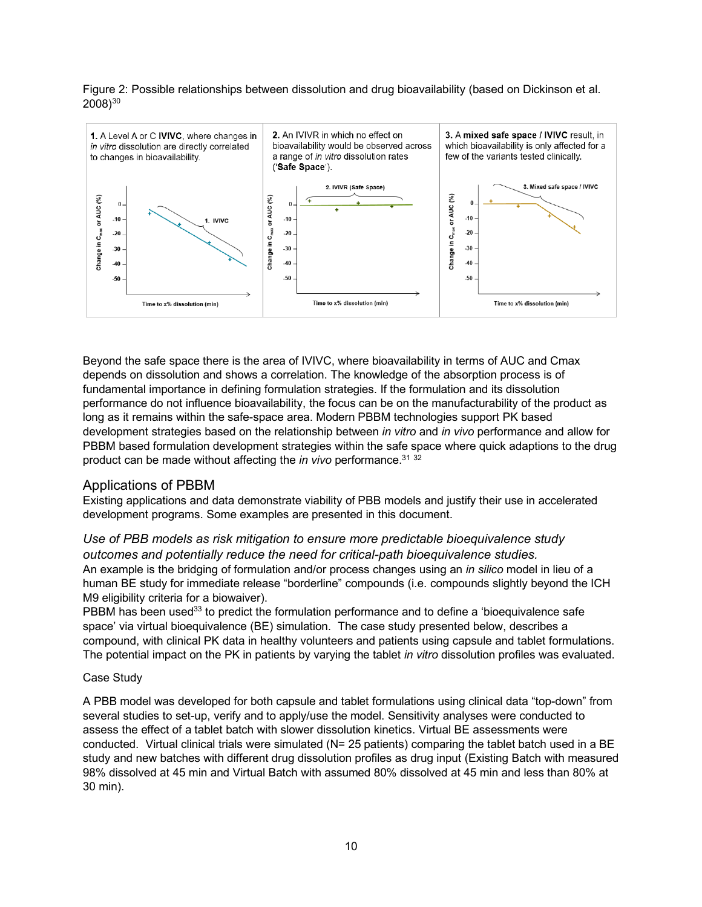Figure 2: Possible relationships between dissolution and drug bioavailability (based on Dickinson et al.  $2008)^{30}$ 



Beyond the safe space there is the area of IVIVC, where bioavailability in terms of AUC and Cmax depends on dissolution and shows a correlation. The knowledge of the absorption process is of fundamental importance in defining formulation strategies. If the formulation and its dissolution performance do not influence bioavailability, the focus can be on the manufacturability of the product as long as it remains within the safe-space area. Modern PBBM technologies support PK based development strategies based on the relationship between *in vitro* and *in vivo* performance and allow for PBBM based formulation development strategies within the safe space where quick adaptions to the drug product can be made without affecting the *in vivo* performance.31 <sup>32</sup>

# Applications of PBBM

Existing applications and data demonstrate viability of PBB models and justify their use in accelerated development programs. Some examples are presented in this document.

# *Use of PBB models as risk mitigation to ensure more predictable bioequivalence study outcomes and potentially reduce the need for critical-path bioequivalence studies.* An example is the bridging of formulation and/or process changes using an *in silico* model in lieu of a

human BE study for immediate release "borderline" compounds (i.e. compounds slightly beyond the ICH M9 eligibility criteria for a biowaiver).

PBBM has been used<sup>33</sup> to predict the formulation performance and to define a 'bioequivalence safe space' via virtual bioequivalence (BE) simulation. The case study presented below, describes a compound, with clinical PK data in healthy volunteers and patients using capsule and tablet formulations. The potential impact on the PK in patients by varying the tablet *in vitro* dissolution profiles was evaluated.

### Case Study

A PBB model was developed for both capsule and tablet formulations using clinical data "top-down" from several studies to set-up, verify and to apply/use the model. Sensitivity analyses were conducted to assess the effect of a tablet batch with slower dissolution kinetics. Virtual BE assessments were conducted. Virtual clinical trials were simulated (N= 25 patients) comparing the tablet batch used in a BE study and new batches with different drug dissolution profiles as drug input (Existing Batch with measured 98% dissolved at 45 min and Virtual Batch with assumed 80% dissolved at 45 min and less than 80% at 30 min).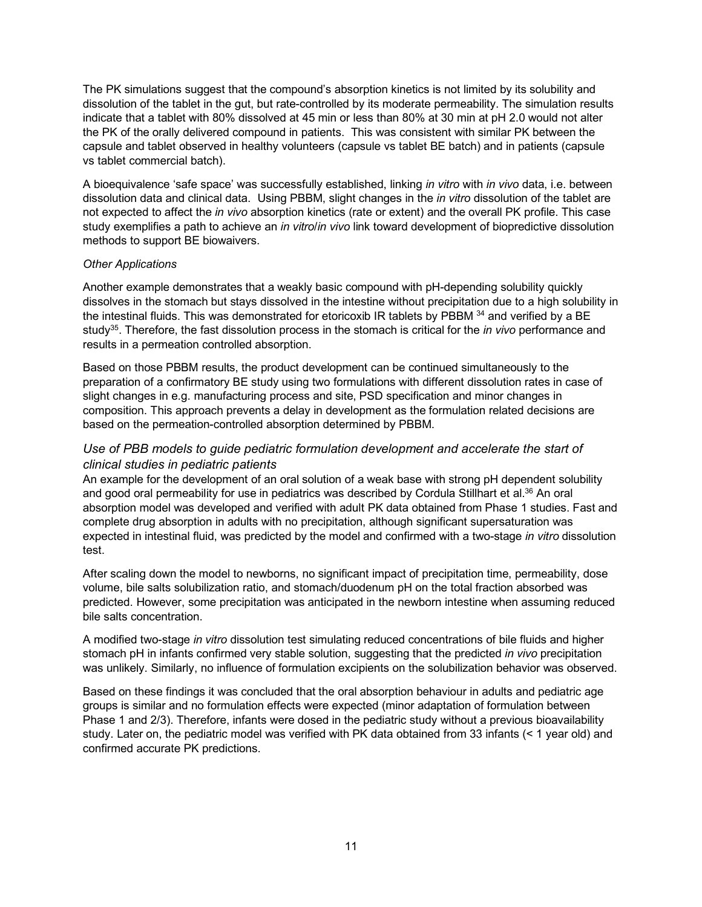The PK simulations suggest that the compound's absorption kinetics is not limited by its solubility and dissolution of the tablet in the gut, but rate-controlled by its moderate permeability. The simulation results indicate that a tablet with 80% dissolved at 45 min or less than 80% at 30 min at pH 2.0 would not alter the PK of the orally delivered compound in patients. This was consistent with similar PK between the capsule and tablet observed in healthy volunteers (capsule vs tablet BE batch) and in patients (capsule vs tablet commercial batch).

A bioequivalence 'safe space' was successfully established, linking *in vitro* with *in vivo* data, i.e. between dissolution data and clinical data. Using PBBM, slight changes in the *in vitro* dissolution of the tablet are not expected to affect the *in vivo* absorption kinetics (rate or extent) and the overall PK profile. This case study exemplifies a path to achieve an *in vitro*/*in vivo* link toward development of biopredictive dissolution methods to support BE biowaivers.

### *Other Applications*

Another example demonstrates that a weakly basic compound with pH-depending solubility quickly dissolves in the stomach but stays dissolved in the intestine without precipitation due to a high solubility in the intestinal fluids. This was demonstrated for etoricoxib IR tablets by PBBM 34 and verified by a BE study35. Therefore, the fast dissolution process in the stomach is critical for the *in vivo* performance and results in a permeation controlled absorption.

Based on those PBBM results, the product development can be continued simultaneously to the preparation of a confirmatory BE study using two formulations with different dissolution rates in case of slight changes in e.g. manufacturing process and site, PSD specification and minor changes in composition. This approach prevents a delay in development as the formulation related decisions are based on the permeation-controlled absorption determined by PBBM.

# *Use of PBB models to guide pediatric formulation development and accelerate the start of clinical studies in pediatric patients*

An example for the development of an oral solution of a weak base with strong pH dependent solubility and good oral permeability for use in pediatrics was described by Cordula Stillhart et al.<sup>36</sup> An oral absorption model was developed and verified with adult PK data obtained from Phase 1 studies. Fast and complete drug absorption in adults with no precipitation, although significant supersaturation was expected in intestinal fluid, was predicted by the model and confirmed with a two-stage *in vitro* dissolution test.

After scaling down the model to newborns, no significant impact of precipitation time, permeability, dose volume, bile salts solubilization ratio, and stomach/duodenum pH on the total fraction absorbed was predicted. However, some precipitation was anticipated in the newborn intestine when assuming reduced bile salts concentration.

A modified two-stage *in vitro* dissolution test simulating reduced concentrations of bile fluids and higher stomach pH in infants confirmed very stable solution, suggesting that the predicted *in vivo* precipitation was unlikely. Similarly, no influence of formulation excipients on the solubilization behavior was observed.

Based on these findings it was concluded that the oral absorption behaviour in adults and pediatric age groups is similar and no formulation effects were expected (minor adaptation of formulation between Phase 1 and 2/3). Therefore, infants were dosed in the pediatric study without a previous bioavailability study. Later on, the pediatric model was verified with PK data obtained from 33 infants (< 1 year old) and confirmed accurate PK predictions.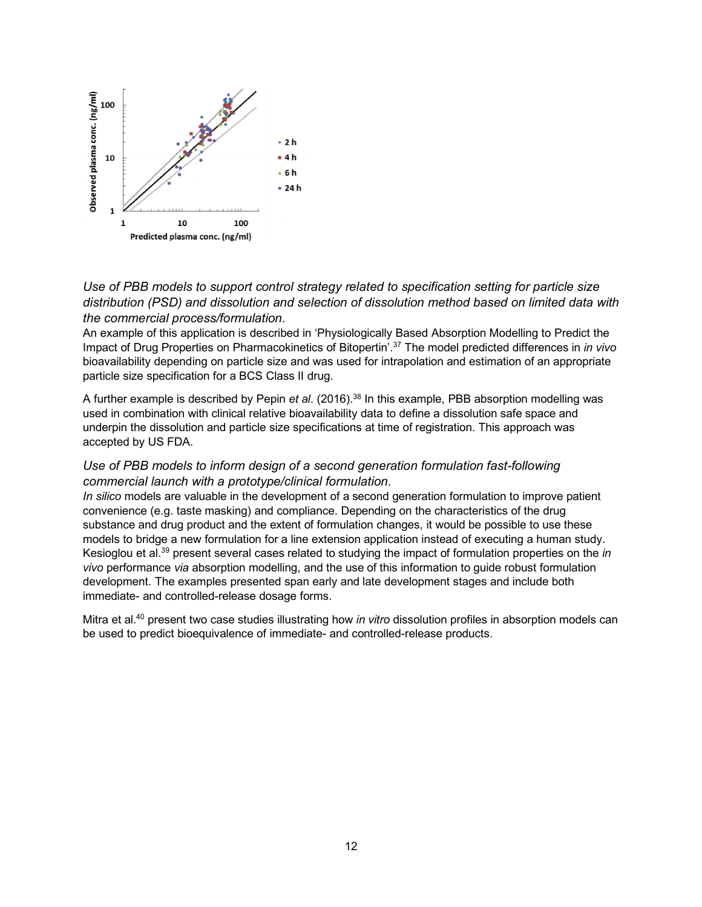

# *Use of PBB models to support control strategy related to specification setting for particle size distribution (PSD) and dissolution and selection of dissolution method based on limited data with the commercial process/formulation.*

An example of this application is described in 'Physiologically Based Absorption Modelling to Predict the Impact of Drug Properties on Pharmacokinetics of Bitopertin'. <sup>37</sup> The model predicted differences in *in vivo* bioavailability depending on particle size and was used for intrapolation and estimation of an appropriate particle size specification for a BCS Class II drug.

A further example is described by Pepin *et al*. (2016). <sup>38</sup> In this example, PBB absorption modelling was used in combination with clinical relative bioavailability data to define a dissolution safe space and underpin the dissolution and particle size specifications at time of registration. This approach was accepted by US FDA.

# *Use of PBB models to inform design of a second generation formulation fast-following commercial launch with a prototype/clinical formulation.*

*In silico* models are valuable in the development of a second generation formulation to improve patient convenience (e.g. taste masking) and compliance. Depending on the characteristics of the drug substance and drug product and the extent of formulation changes, it would be possible to use these models to bridge a new formulation for a line extension application instead of executing a human study. Kesioglou et al.39 present several cases related to studying the impact of formulation properties on the *in vivo* performance *via* absorption modelling, and the use of this information to guide robust formulation development. The examples presented span early and late development stages and include both immediate- and controlled-release dosage forms.

Mitra et al.40 present two case studies illustrating how *in vitro* dissolution profiles in absorption models can be used to predict bioequivalence of immediate- and controlled-release products.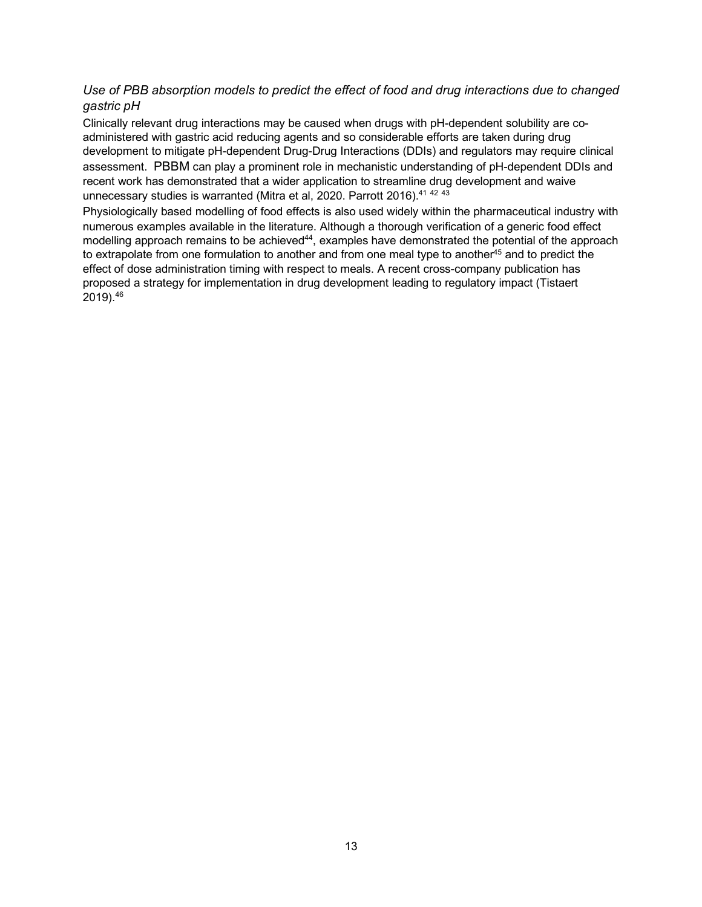# *Use of PBB absorption models to predict the effect of food and drug interactions due to changed gastric pH*

Clinically relevant drug interactions may be caused when drugs with pH-dependent solubility are coadministered with gastric acid reducing agents and so considerable efforts are taken during drug development to mitigate pH-dependent Drug-Drug Interactions (DDIs) and regulators may require clinical assessment. PBBM can play a prominent role in mechanistic understanding of pH-dependent DDIs and recent work has demonstrated that a wider application to streamline drug development and waive unnecessary studies is warranted (Mitra et al, 2020. Parrott 2016).<sup>41 42 43</sup>

Physiologically based modelling of food effects is also used widely within the pharmaceutical industry with numerous examples available in the literature. Although a thorough verification of a generic food effect modelling approach remains to be achieved<sup>44</sup>, examples have demonstrated the potential of the approach to extrapolate from one formulation to another and from one meal type to another<sup>45</sup> and to predict the effect of dose administration timing with respect to meals. A recent cross-company publication has proposed a strategy for implementation in drug development leading to regulatory impact (Tistaert 2019). 46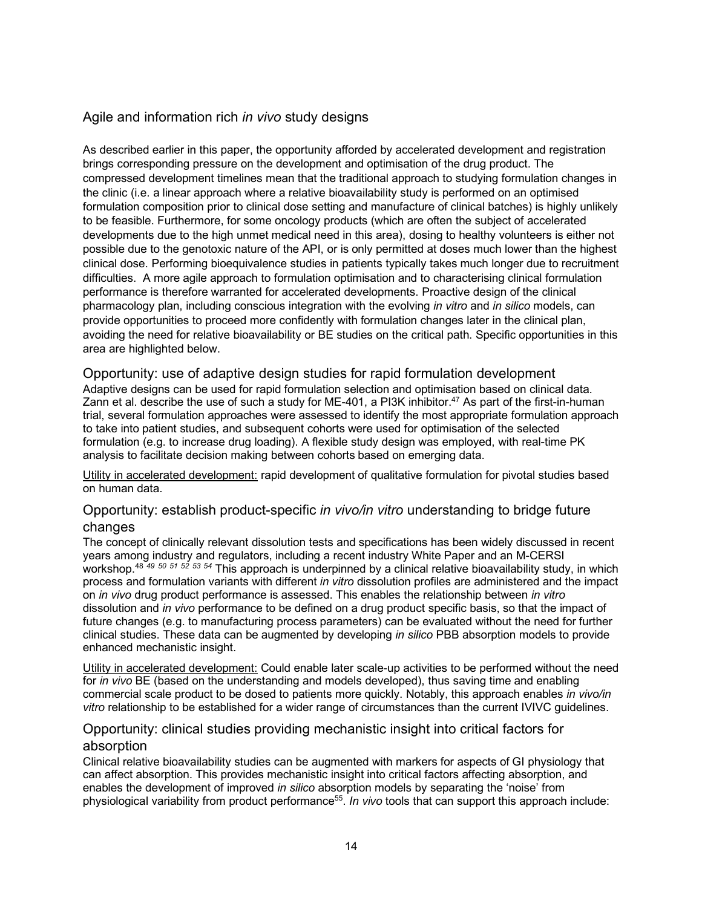# Agile and information rich *in vivo* study designs

As described earlier in this paper, the opportunity afforded by accelerated development and registration brings corresponding pressure on the development and optimisation of the drug product. The compressed development timelines mean that the traditional approach to studying formulation changes in the clinic (i.e. a linear approach where a relative bioavailability study is performed on an optimised formulation composition prior to clinical dose setting and manufacture of clinical batches) is highly unlikely to be feasible. Furthermore, for some oncology products (which are often the subject of accelerated developments due to the high unmet medical need in this area), dosing to healthy volunteers is either not possible due to the genotoxic nature of the API, or is only permitted at doses much lower than the highest clinical dose. Performing bioequivalence studies in patients typically takes much longer due to recruitment difficulties. A more agile approach to formulation optimisation and to characterising clinical formulation performance is therefore warranted for accelerated developments. Proactive design of the clinical pharmacology plan, including conscious integration with the evolving *in vitro* and *in silico* models, can provide opportunities to proceed more confidently with formulation changes later in the clinical plan, avoiding the need for relative bioavailability or BE studies on the critical path. Specific opportunities in this area are highlighted below.

# Opportunity: use of adaptive design studies for rapid formulation development

Adaptive designs can be used for rapid formulation selection and optimisation based on clinical data. Zann et al. describe the use of such a study for ME-401, a PI3K inhibitor.<sup>47</sup> As part of the first-in-human trial, several formulation approaches were assessed to identify the most appropriate formulation approach to take into patient studies, and subsequent cohorts were used for optimisation of the selected formulation (e.g. to increase drug loading). A flexible study design was employed, with real-time PK analysis to facilitate decision making between cohorts based on emerging data.

Utility in accelerated development: rapid development of qualitative formulation for pivotal studies based on human data.

# Opportunity: establish product-specific *in vivo/in vitro* understanding to bridge future changes

The concept of clinically relevant dissolution tests and specifications has been widely discussed in recent years among industry and regulators, including a recent industry White Paper and an M-CERSI workshop. <sup>48</sup> *<sup>49</sup> <sup>50</sup> <sup>51</sup> <sup>52</sup> <sup>53</sup> <sup>54</sup>* This approach is underpinned by a clinical relative bioavailability study, in which process and formulation variants with different *in vitro* dissolution profiles are administered and the impact on *in vivo* drug product performance is assessed. This enables the relationship between *in vitro* dissolution and *in vivo* performance to be defined on a drug product specific basis, so that the impact of future changes (e.g. to manufacturing process parameters) can be evaluated without the need for further clinical studies. These data can be augmented by developing *in silico* PBB absorption models to provide enhanced mechanistic insight.

Utility in accelerated development: Could enable later scale-up activities to be performed without the need for *in vivo* BE (based on the understanding and models developed), thus saving time and enabling commercial scale product to be dosed to patients more quickly. Notably, this approach enables *in vivo/in vitro* relationship to be established for a wider range of circumstances than the current IVIVC guidelines.

# Opportunity: clinical studies providing mechanistic insight into critical factors for absorption

Clinical relative bioavailability studies can be augmented with markers for aspects of GI physiology that can affect absorption. This provides mechanistic insight into critical factors affecting absorption, and enables the development of improved *in silico* absorption models by separating the 'noise' from physiological variability from product performance55. *In vivo* tools that can support this approach include: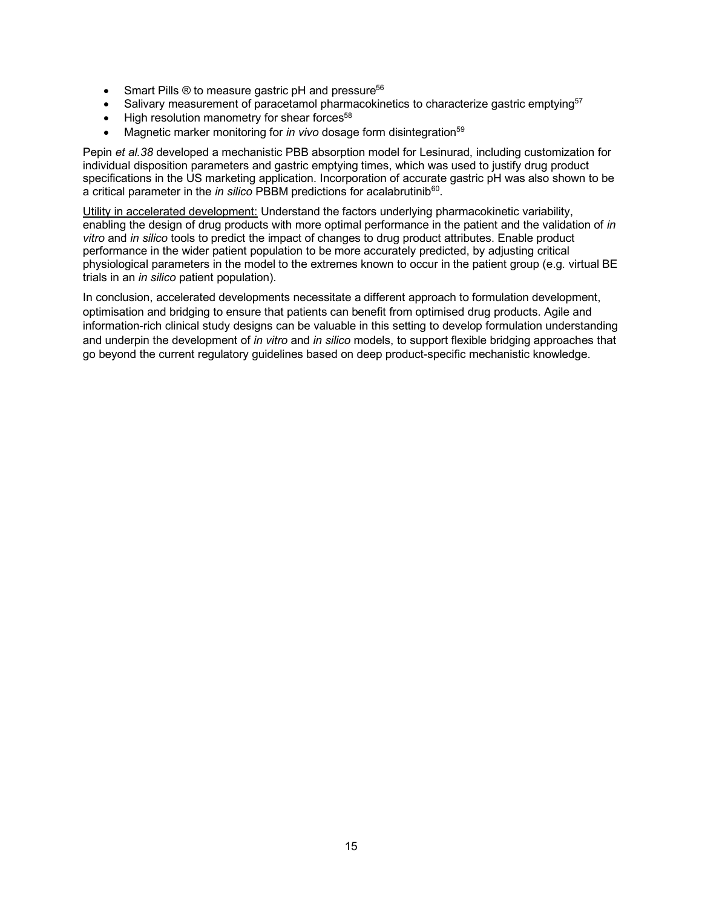- Smart Pills  $\odot$  to measure gastric pH and pressure<sup>56</sup>
- Salivary measurement of paracetamol pharmacokinetics to characterize gastric emptying<sup>57</sup>
- High resolution manometry for shear forces $58$
- Magnetic marker monitoring for *in vivo* dosage form disintegration<sup>59</sup>

Pepin *et al.38* developed a mechanistic PBB absorption model for Lesinurad, including customization for individual disposition parameters and gastric emptying times, which was used to justify drug product specifications in the US marketing application. Incorporation of accurate gastric pH was also shown to be a critical parameter in the *in silico* PBBM predictions for acalabrutinib<sup>60</sup>.

Utility in accelerated development: Understand the factors underlying pharmacokinetic variability, enabling the design of drug products with more optimal performance in the patient and the validation of *in vitro* and *in silico* tools to predict the impact of changes to drug product attributes. Enable product performance in the wider patient population to be more accurately predicted, by adjusting critical physiological parameters in the model to the extremes known to occur in the patient group (e.g. virtual BE trials in an *in silico* patient population).

In conclusion, accelerated developments necessitate a different approach to formulation development, optimisation and bridging to ensure that patients can benefit from optimised drug products. Agile and information-rich clinical study designs can be valuable in this setting to develop formulation understanding and underpin the development of *in vitro* and *in silico* models, to support flexible bridging approaches that go beyond the current regulatory guidelines based on deep product-specific mechanistic knowledge.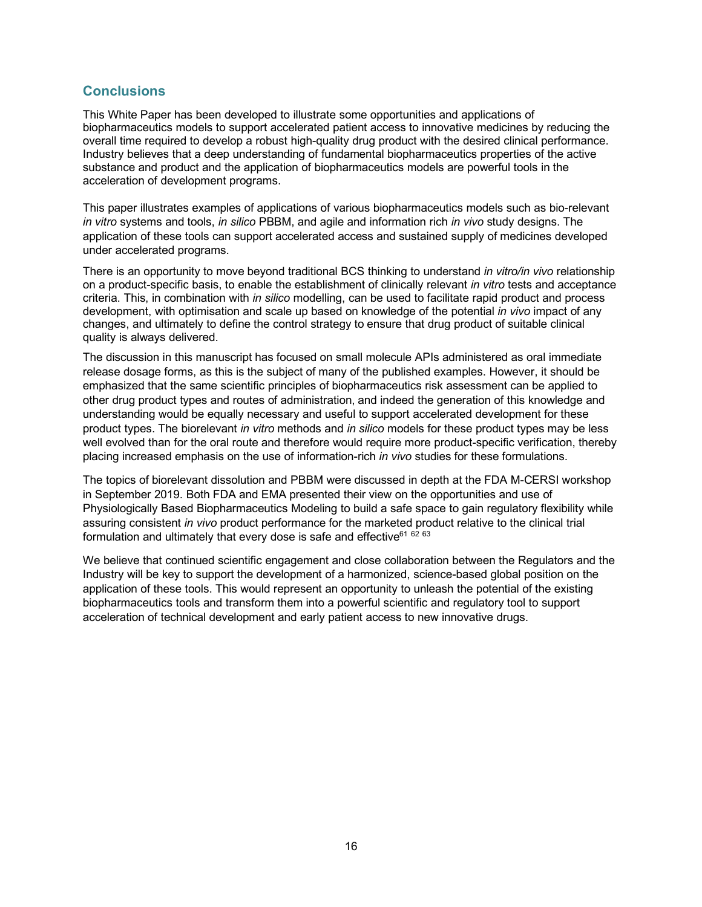# **Conclusions**

This White Paper has been developed to illustrate some opportunities and applications of biopharmaceutics models to support accelerated patient access to innovative medicines by reducing the overall time required to develop a robust high-quality drug product with the desired clinical performance. Industry believes that a deep understanding of fundamental biopharmaceutics properties of the active substance and product and the application of biopharmaceutics models are powerful tools in the acceleration of development programs.

This paper illustrates examples of applications of various biopharmaceutics models such as bio-relevant *in vitro* systems and tools, *in silico* PBBM, and agile and information rich *in vivo* study designs. The application of these tools can support accelerated access and sustained supply of medicines developed under accelerated programs.

There is an opportunity to move beyond traditional BCS thinking to understand *in vitro/in vivo* relationship on a product-specific basis, to enable the establishment of clinically relevant *in vitro* tests and acceptance criteria. This, in combination with *in silico* modelling, can be used to facilitate rapid product and process development, with optimisation and scale up based on knowledge of the potential *in vivo* impact of any changes, and ultimately to define the control strategy to ensure that drug product of suitable clinical quality is always delivered.

The discussion in this manuscript has focused on small molecule APIs administered as oral immediate release dosage forms, as this is the subject of many of the published examples. However, it should be emphasized that the same scientific principles of biopharmaceutics risk assessment can be applied to other drug product types and routes of administration, and indeed the generation of this knowledge and understanding would be equally necessary and useful to support accelerated development for these product types. The biorelevant *in vitro* methods and *in silico* models for these product types may be less well evolved than for the oral route and therefore would require more product-specific verification, thereby placing increased emphasis on the use of information-rich *in vivo* studies for these formulations.

The topics of biorelevant dissolution and PBBM were discussed in depth at the FDA M-CERSI workshop in September 2019. Both FDA and EMA presented their view on the opportunities and use of Physiologically Based Biopharmaceutics Modeling to build a safe space to gain regulatory flexibility while assuring consistent *in vivo* product performance for the marketed product relative to the clinical trial formulation and ultimately that every dose is safe and effective $616263$ 

We believe that continued scientific engagement and close collaboration between the Regulators and the Industry will be key to support the development of a harmonized, science-based global position on the application of these tools. This would represent an opportunity to unleash the potential of the existing biopharmaceutics tools and transform them into a powerful scientific and regulatory tool to support acceleration of technical development and early patient access to new innovative drugs.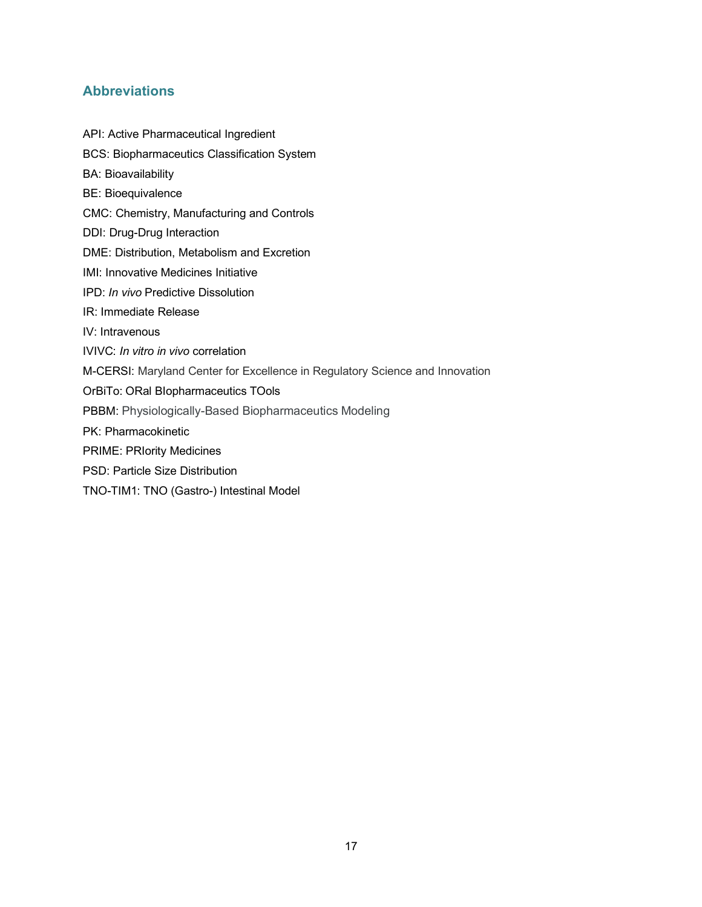# **Abbreviations**

- API: Active Pharmaceutical Ingredient
- BCS: Biopharmaceutics Classification System
- BA: Bioavailability
- BE: Bioequivalence
- CMC: Chemistry, Manufacturing and Controls
- DDI: Drug-Drug Interaction
- DME: Distribution, Metabolism and Excretion
- IMI: Innovative Medicines Initiative
- IPD: *In vivo* Predictive Dissolution
- IR: Immediate Release
- IV: Intravenous
- IVIVC: *In vitro in vivo* correlation
- M-CERSI: Maryland Center for Excellence in Regulatory Science and Innovation
- OrBiTo: ORal BIopharmaceutics TOols
- PBBM: Physiologically-Based Biopharmaceutics Modeling
- PK: Pharmacokinetic
- PRIME: PRIority Medicines
- PSD: Particle Size Distribution
- TNO-TIM1: TNO (Gastro-) Intestinal Model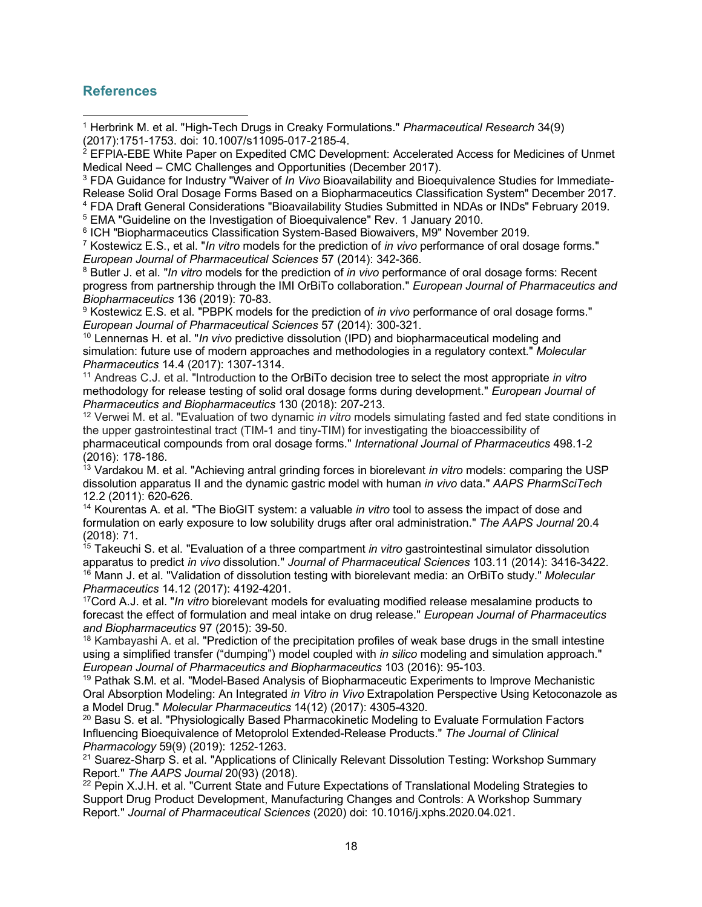# **References**

<sup>1</sup> Herbrink M. et al. "High-Tech Drugs in Creaky Formulations." *Pharmaceutical Research* 34(9) (2017):1751-1753. doi: 10.1007/s11095-017-2185-4. l

<sup>4</sup> FDA Draft General Considerations "Bioavailability Studies Submitted in NDAs or INDs" February 2019.

<sup>5</sup> EMA "Guideline on the Investigation of Bioequivalence" Rev. 1 January 2010.

<sup>6</sup> ICH "Biopharmaceutics Classification System-Based Biowaivers, M9" November 2019.

<sup>7</sup> Kostewicz E.S., et al. "*In vitro* models for the prediction of *in vivo* performance of oral dosage forms." *European Journal of Pharmaceutical Sciences* 57 (2014): 342-366.

<sup>8</sup> Butler J. et al. "*In vitro* models for the prediction of *in vivo* performance of oral dosage forms: Recent progress from partnership through the IMI OrBiTo collaboration." *European Journal of Pharmaceutics and Biopharmaceutics* 136 (2019): 70-83.

<sup>9</sup> Kostewicz E.S. et al. "PBPK models for the prediction of *in vivo* performance of oral dosage forms." *European Journal of Pharmaceutical Sciences* 57 (2014): 300-321.

<sup>10</sup> Lennernas H. et al. "*In vivo* predictive dissolution (IPD) and biopharmaceutical modeling and simulation: future use of modern approaches and methodologies in a regulatory context." *Molecular Pharmaceutics* 14.4 (2017): 1307-1314.

<sup>11</sup> Andreas C.J. et al. "Introduction to the OrBiTo decision tree to select the most appropriate *in vitro* methodology for release testing of solid oral dosage forms during development." *European Journal of Pharmaceutics and Biopharmaceutics* 130 (2018): 207-213.

<sup>12</sup> Verwei M. et al. "Evaluation of two dynamic *in vitro* models simulating fasted and fed state conditions in the upper gastrointestinal tract (TIM-1 and tiny-TIM) for investigating the bioaccessibility of pharmaceutical compounds from oral dosage forms." *International Journal of Pharmaceutics* 498.1-2 (2016): 178-186.

<sup>13</sup> Vardakou M. et al. "Achieving antral grinding forces in biorelevant *in vitro* models: comparing the USP dissolution apparatus II and the dynamic gastric model with human *in vivo* data." *AAPS PharmSciTech* 12.2 (2011): 620-626.

<sup>14</sup> Kourentas A. et al. "The BioGIT system: a valuable *in vitro* tool to assess the impact of dose and formulation on early exposure to low solubility drugs after oral administration." *The AAPS Journal* 20.4 (2018): 71.

<sup>15</sup> Takeuchi S. et al. "Evaluation of a three compartment *in vitro* gastrointestinal simulator dissolution apparatus to predict *in vivo* dissolution." *Journal of Pharmaceutical Sciences* 103.11 (2014): 3416-3422. <sup>16</sup> Mann J. et al. "Validation of dissolution testing with biorelevant media: an OrBiTo study." *Molecular Pharmaceutics* 14.12 (2017): 4192-4201.

17Cord A.J. et al. "*In vitro* biorelevant models for evaluating modified release mesalamine products to forecast the effect of formulation and meal intake on drug release." *European Journal of Pharmaceutics and Biopharmaceutics* 97 (2015): 39-50.

<sup>18</sup> Kambayashi A. et al. "Prediction of the precipitation profiles of weak base drugs in the small intestine using a simplified transfer ("dumping") model coupled with *in silico* modeling and simulation approach." *European Journal of Pharmaceutics and Biopharmaceutics* 103 (2016): 95-103.

<sup>19</sup> Pathak S.M. et al. "Model-Based Analysis of Biopharmaceutic Experiments to Improve Mechanistic Oral Absorption Modeling: An Integrated *in Vitro in Vivo* Extrapolation Perspective Using Ketoconazole as a Model Drug." *Molecular Pharmaceutics* 14(12) (2017): 4305-4320.

<sup>20</sup> Basu S. et al. "Physiologically Based Pharmacokinetic Modeling to Evaluate Formulation Factors Influencing Bioequivalence of Metoprolol Extended-Release Products." *The Journal of Clinical Pharmacology* 59(9) (2019): 1252-1263.

<sup>21</sup> Suarez-Sharp S. et al. "Applications of Clinically Relevant Dissolution Testing: Workshop Summary Report." *The AAPS Journal* 20(93) (2018).

 $22$  Pepin X.J.H. et al. "Current State and Future Expectations of Translational Modeling Strategies to Support Drug Product Development, Manufacturing Changes and Controls: A Workshop Summary Report." *Journal of Pharmaceutical Sciences* (2020) doi: 10.1016/j.xphs.2020.04.021.

<sup>&</sup>lt;sup>2</sup> EFPIA-EBE White Paper on Expedited CMC Development: Accelerated Access for Medicines of Unmet Medical Need – CMC Challenges and Opportunities (December 2017).

<sup>3</sup> FDA Guidance for Industry "Waiver of *In Vivo* Bioavailability and Bioequivalence Studies for Immediate-Release Solid Oral Dosage Forms Based on a Biopharmaceutics Classification System" December 2017.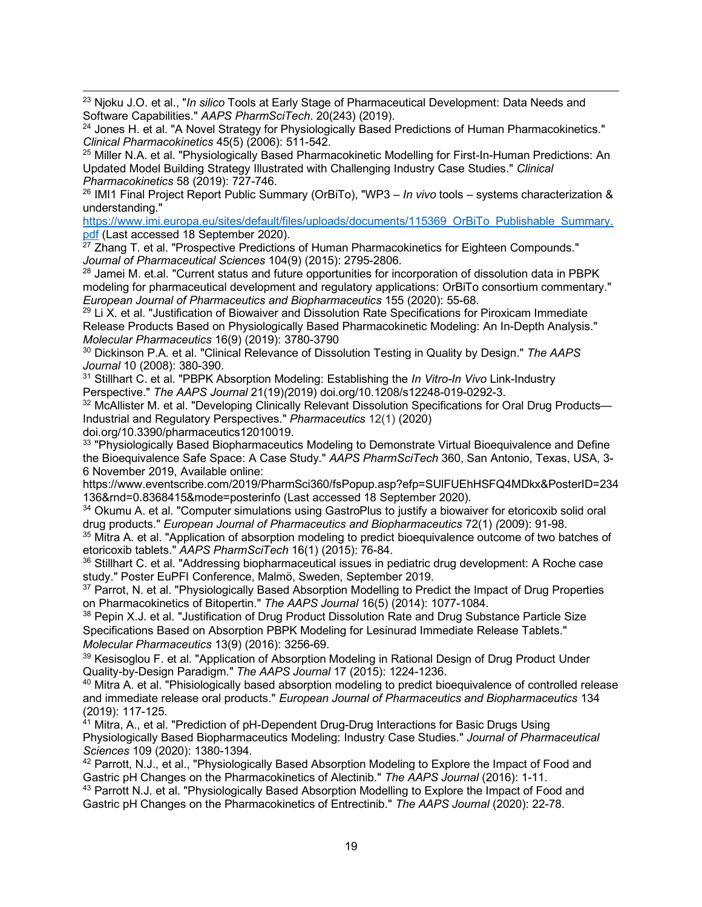23 Njoku J.O. et al., "*In silico* Tools at Early Stage of Pharmaceutical Development: Data Needs and Software Capabilities." *AAPS PharmSciTech*. 20(243) (2019).

 $24$  Jones H. et al. "A Novel Strategy for Physiologically Based Predictions of Human Pharmacokinetics." *Clinical Pharmacokinetics* 45(5) (2006): 511-542.

<sup>25</sup> Miller N.A. et al. "Physiologically Based Pharmacokinetic Modelling for First-In-Human Predictions: An Updated Model Building Strategy Illustrated with Challenging Industry Case Studies." *Clinical Pharmacokinetics* 58 (2019): 727-746.

<sup>26</sup> IMI1 Final Project Report Public Summary (OrBiTo), "WP3 – *In vivo* tools – systems characterization & understanding."

https://www.imi.europa.eu/sites/default/files/uploads/documents/115369\_OrBiTo\_Publishable\_Summary. pdf (Last accessed 18 September 2020).

 $27$  Zhang T. et al. "Prospective Predictions of Human Pharmacokinetics for Eighteen Compounds." *Journal of Pharmaceutical Sciences* 104(9) (2015): 2795-2806.

<sup>28</sup> Jamei M. et.al. "Current status and future opportunities for incorporation of dissolution data in PBPK modeling for pharmaceutical development and regulatory applications: OrBiTo consortium commentary." *European Journal of Pharmaceutics and Biopharmaceutics* 155 (2020): 55-68.

 $29$  Li X. et al. "Justification of Biowaiver and Dissolution Rate Specifications for Piroxicam Immediate Release Products Based on Physiologically Based Pharmacokinetic Modeling: An In-Depth Analysis." *Molecular Pharmaceutics* 16(9) (2019): 3780-3790

<sup>30</sup> Dickinson P.A. et al. "Clinical Relevance of Dissolution Testing in Quality by Design." *The AAPS Journal* 10 (2008): 380-390.<br><sup>31</sup> Stillhart C. et al. "PBPK Absorption Modeling: Establishing the *In Vitro-In Vivo* Link-Industry

Perspective." *The AAPS Journal* 21(19)*(*2019) doi.org/10.1208/s12248-019-0292-3.

<sup>32</sup> McAllister M. et al. "Developing Clinically Relevant Dissolution Specifications for Oral Drug Products-Industrial and Regulatory Perspectives." *Pharmaceutics* 12(1) (2020)

doi.org/10.3390/pharmaceutics12010019.

<sup>33</sup> "Physiologically Based Biopharmaceutics Modeling to Demonstrate Virtual Bioequivalence and Define the Bioequivalence Safe Space: A Case Study." *AAPS PharmSciTech* 360, San Antonio, Texas, USA, 3- 6 November 2019, Available online:

https://www.eventscribe.com/2019/PharmSci360/fsPopup.asp?efp=SUlFUEhHSFQ4MDkx&PosterID=234 136&rnd=0.8368415&mode=posterinfo (Last accessed 18 September 2020).

<sup>34</sup> Okumu A. et al. "Computer simulations using GastroPlus to justify a biowaiver for etoricoxib solid oral drug products." *European Journal of Pharmaceutics and Biopharmaceutics* 72(1) *(*2009): 91-98.

<sup>35</sup> Mitra A. et al. "Application of absorption modeling to predict bioequivalence outcome of two batches of etoricoxib tablets." *AAPS PharmSciTech* 16(1) (2015): 76-84.

<sup>36</sup> Stillhart C. et al. "Addressing biopharmaceutical issues in pediatric drug development: A Roche case study." Poster EuPFI Conference, Malmö, Sweden, September 2019.

 $37$  Parrot, N. et al. "Physiologically Based Absorption Modelling to Predict the Impact of Drug Properties<br>on Pharmacokinetics of Bitopertin." The AAPS Journal 16(5) (2014): 1077-1084.

<sup>38</sup> Pepin X.J. et al. "Justification of Drug Product Dissolution Rate and Drug Substance Particle Size Specifications Based on Absorption PBPK Modeling for Lesinurad Immediate Release Tablets." *Molecular Pharmaceutics* 13(9) (2016): 3256-69.

<sup>39</sup> Kesisoglou F. et al. "Application of Absorption Modeling in Rational Design of Drug Product Under Quality-by-Design Paradigm." *The AAPS Journal* 17 (2015): 1224-1236.<br><sup>40</sup> Mitra A. et al. "Phisiologically based absorption modeling to predict bioequivalence of controlled release

and immediate release oral products." *European Journal of Pharmaceutics and Biopharmaceutics* 134 (2019): 117-125.

 $41$  Mitra, A., et al. "Prediction of pH-Dependent Drug-Drug Interactions for Basic Drugs Using Physiologically Based Biopharmaceutics Modeling: Industry Case Studies." *Journal of Pharmaceutical Sciences* 109 (2020): 1380-1394.

<sup>42</sup> Parrott, N.J., et al., "Physiologically Based Absorption Modeling to Explore the Impact of Food and Gastric pH Changes on the Pharmacokinetics of Alectinib." *The AAPS Journal* (2016): 1-11.

43 Parrott N.J. et al. "Physiologically Based Absorption Modelling to Explore the Impact of Food and Gastric pH Changes on the Pharmacokinetics of Entrectinib." *The AAPS Journal* (2020): 22-78.